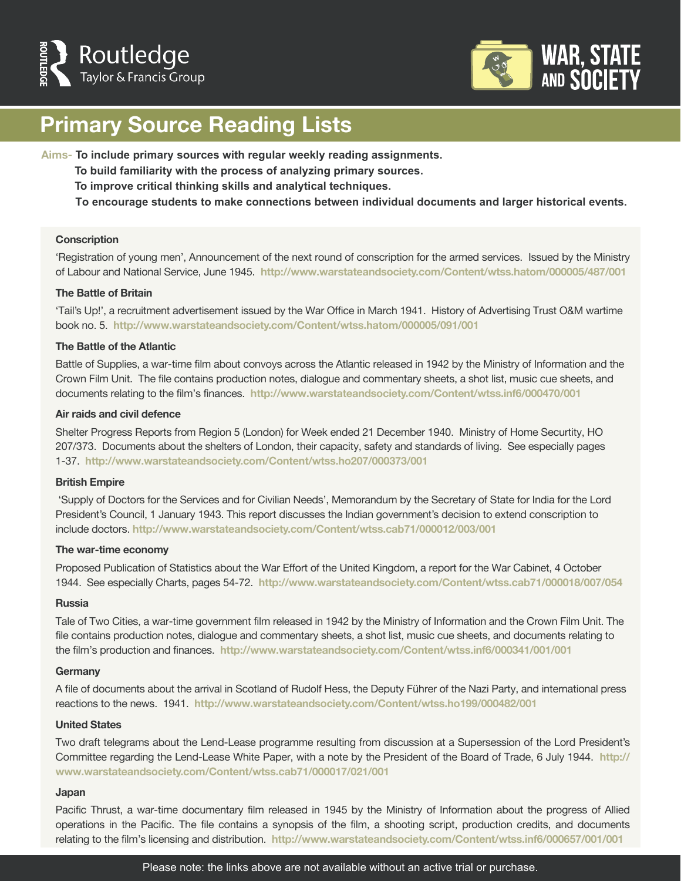



## **Primary Source Reading Lists**

**Aims- To include primary sources with regular weekly reading assignments.** 

**To build familiarity with the process of analyzing primary sources.** 

 **To improve critical thinking skills and analytical techniques.** 

 **To encourage students to make connections between individual documents and larger historical events.**

#### **Conscription**

'Registration of young men', Announcement of the next round of conscription for the armed services. Issued by the Ministry of Labour and National Service, June 1945. **http://www.warstateandsociety.com/Content/wtss.hatom/000005/487/001** 

### **The Battle of Britain**

'Tail's Up!', a recruitment advertisement issued by the War Office in March 1941. History of Advertising Trust O&M wartime book no. 5. **http://www.warstateandsociety.com/Content/wtss.hatom/000005/091/001** 

#### **The Battle of the Atlantic**

Battle of Supplies, a war-time film about convoys across the Atlantic released in 1942 by the Ministry of Information and the Crown Film Unit. The file contains production notes, dialogue and commentary sheets, a shot list, music cue sheets, and documents relating to the film's finances. **http://www.warstateandsociety.com/Content/wtss.inf6/000470/001** 

#### **Air raids and civil defence**

Shelter Progress Reports from Region 5 (London) for Week ended 21 December 1940. Ministry of Home Securtity, HO 207/373. Documents about the shelters of London, their capacity, safety and standards of living. See especially pages 1-37. **http://www.warstateandsociety.com/Content/wtss.ho207/000373/001** 

#### **British Empire**

 'Supply of Doctors for the Services and for Civilian Needs', Memorandum by the Secretary of State for India for the Lord President's Council, 1 January 1943. This report discusses the Indian government's decision to extend conscription to include doctors. **http://www.warstateandsociety.com/Content/wtss.cab71/000012/003/001** 

#### **The war-time economy**

Proposed Publication of Statistics about the War Effort of the United Kingdom, a report for the War Cabinet, 4 October 1944. See especially Charts, pages 54-72. **http://www.warstateandsociety.com/Content/wtss.cab71/000018/007/054** 

#### **Russia**

Tale of Two Cities, a war-time government film released in 1942 by the Ministry of Information and the Crown Film Unit. The file contains production notes, dialogue and commentary sheets, a shot list, music cue sheets, and documents relating to the film's production and finances. **http://www.warstateandsociety.com/Content/wtss.inf6/000341/001/001** 

#### **Germany**

A file of documents about the arrival in Scotland of Rudolf Hess, the Deputy Führer of the Nazi Party, and international press reactions to the news. 1941. **http://www.warstateandsociety.com/Content/wtss.ho199/000482/001** 

#### **United States**

Two draft telegrams about the Lend-Lease programme resulting from discussion at a Supersession of the Lord President's Committee regarding the Lend-Lease White Paper, with a note by the President of the Board of Trade, 6 July 1944. **http:// www.warstateandsociety.com/Content/wtss.cab71/000017/021/001**

#### **Japan**

Pacific Thrust, a war-time documentary film released in 1945 by the Ministry of Information about the progress of Allied operations in the Pacific. The file contains a synopsis of the film, a shooting script, production credits, and documents relating to the film's licensing and distribution. **http://www.warstateandsociety.com/Content/wtss.inf6/000657/001/001**